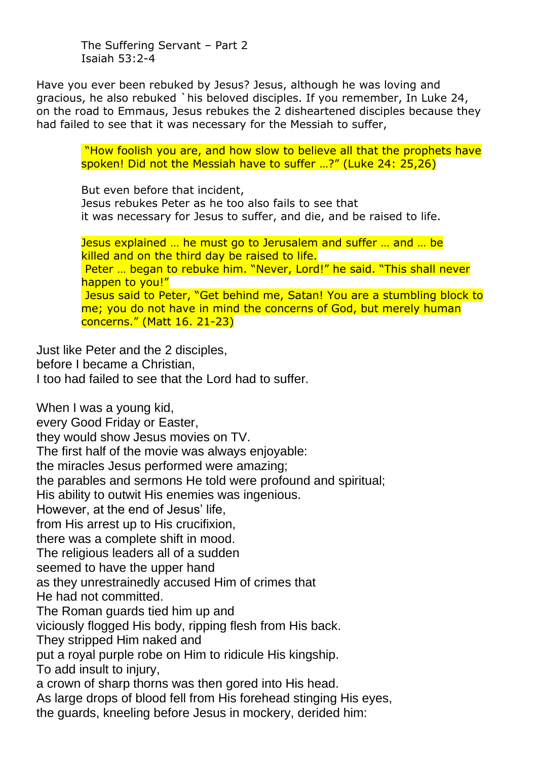The Suffering Servant – Part 2 Isaiah 53:2-4

Have you ever been rebuked by Jesus? Jesus, although he was loving and gracious, he also rebuked `his beloved disciples. If you remember, In Luke 24, on the road to Emmaus, Jesus rebukes the 2 disheartened disciples because they had failed to see that it was necessary for the Messiah to suffer,

> "How foolish you are, and how slow to believe all that the prophets have spoken! Did not the Messiah have to suffer …?" (Luke 24: 25,26)

But even before that incident, Jesus rebukes Peter as he too also fails to see that it was necessary for Jesus to suffer, and die, and be raised to life.

Jesus explained … he must go to Jerusalem and suffer … and … be killed and on the third day be raised to life. Peter … began to rebuke him. "Never, Lord!" he said. "This shall never happen to you!" Jesus said to Peter, "Get behind me, Satan! You are a stumbling block to me; you do not have in mind the concerns of God, but merely human concerns." (Matt 16. 21-23)

Just like Peter and the 2 disciples, before I became a Christian, I too had failed to see that the Lord had to suffer.

When I was a young kid, every Good Friday or Easter, they would show Jesus movies on TV. The first half of the movie was always enjoyable: the miracles Jesus performed were amazing; the parables and sermons He told were profound and spiritual; His ability to outwit His enemies was ingenious. However, at the end of Jesus' life, from His arrest up to His crucifixion, there was a complete shift in mood. The religious leaders all of a sudden seemed to have the upper hand as they unrestrainedly accused Him of crimes that He had not committed. The Roman guards tied him up and viciously flogged His body, ripping flesh from His back. They stripped Him naked and put a royal purple robe on Him to ridicule His kingship. To add insult to injury, a crown of sharp thorns was then gored into His head. As large drops of blood fell from His forehead stinging His eyes, the guards, kneeling before Jesus in mockery, derided him: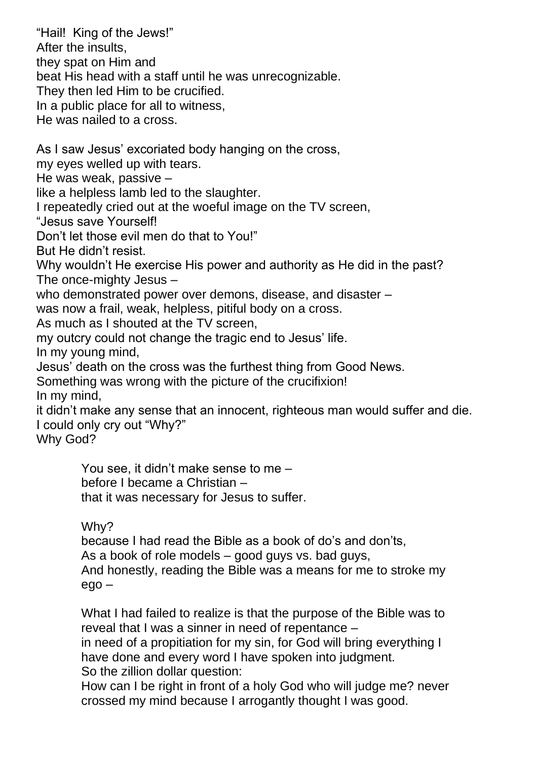"Hail! King of the Jews!" After the insults, they spat on Him and beat His head with a staff until he was unrecognizable. They then led Him to be crucified. In a public place for all to witness, He was nailed to a cross. As I saw Jesus' excoriated body hanging on the cross, my eyes welled up with tears. He was weak, passive – like a helpless lamb led to the slaughter. I repeatedly cried out at the woeful image on the TV screen, "Jesus save Yourself! Don't let those evil men do that to You!" But He didn't resist. Why wouldn't He exercise His power and authority as He did in the past? The once-mighty Jesus – who demonstrated power over demons, disease, and disaster – was now a frail, weak, helpless, pitiful body on a cross. As much as I shouted at the TV screen, my outcry could not change the tragic end to Jesus' life. In my young mind, Jesus' death on the cross was the furthest thing from Good News. Something was wrong with the picture of the crucifixion! In my mind, it didn't make any sense that an innocent, righteous man would suffer and die. I could only cry out "Why?" Why God? You see, it didn't make sense to me – before I became a Christian – that it was necessary for Jesus to suffer.

Why?

because I had read the Bible as a book of do's and don'ts, As a book of role models – good guys vs. bad guys, And honestly, reading the Bible was a means for me to stroke my ego –

What I had failed to realize is that the purpose of the Bible was to reveal that I was a sinner in need of repentance –

in need of a propitiation for my sin, for God will bring everything I have done and every word I have spoken into judgment.

So the zillion dollar question:

How can I be right in front of a holy God who will judge me? never crossed my mind because I arrogantly thought I was good.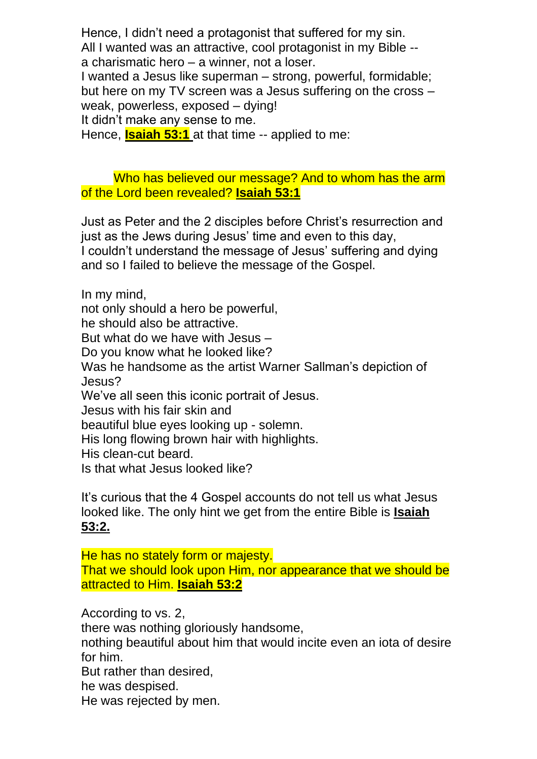Hence, I didn't need a protagonist that suffered for my sin. All I wanted was an attractive, cool protagonist in my Bible - a charismatic hero – a winner, not a loser.

I wanted a Jesus like superman – strong, powerful, formidable; but here on my TV screen was a Jesus suffering on the cross – weak, powerless, exposed – dying!

It didn't make any sense to me.

Hence, **Isaiah 53:1** at that time -- applied to me:

Who has believed our message? And to whom has the arm of the Lord been revealed? **Isaiah 53:1**

Just as Peter and the 2 disciples before Christ's resurrection and just as the Jews during Jesus' time and even to this day, I couldn't understand the message of Jesus' suffering and dying and so I failed to believe the message of the Gospel.

In my mind,

not only should a hero be powerful,

he should also be attractive.

But what do we have with Jesus –

Do you know what he looked like?

Was he handsome as the artist Warner Sallman's depiction of Jesus?

We've all seen this iconic portrait of Jesus.

Jesus with his fair skin and

beautiful blue eyes looking up - solemn.

His long flowing brown hair with highlights.

His clean-cut beard.

Is that what Jesus looked like?

It's curious that the 4 Gospel accounts do not tell us what Jesus looked like. The only hint we get from the entire Bible is **Isaiah 53:2.**

He has no stately form or majesty. That we should look upon Him, nor appearance that we should be attracted to Him. **Isaiah 53:2**

According to vs. 2,

there was nothing gloriously handsome,

nothing beautiful about him that would incite even an iota of desire for him.

But rather than desired,

he was despised.

He was rejected by men.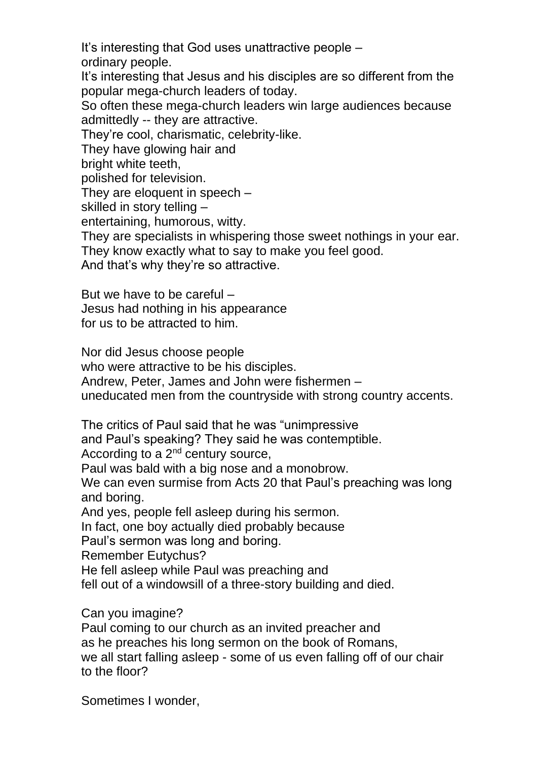It's interesting that God uses unattractive people –

ordinary people.

It's interesting that Jesus and his disciples are so different from the popular mega-church leaders of today.

So often these mega-church leaders win large audiences because admittedly -- they are attractive.

They're cool, charismatic, celebrity-like.

They have glowing hair and

bright white teeth,

polished for television.

They are eloquent in speech –

skilled in story telling –

entertaining, humorous, witty.

They are specialists in whispering those sweet nothings in your ear. They know exactly what to say to make you feel good.

And that's why they're so attractive.

But we have to be careful – Jesus had nothing in his appearance for us to be attracted to him.

Nor did Jesus choose people who were attractive to be his disciples. Andrew, Peter, James and John were fishermen – uneducated men from the countryside with strong country accents.

The critics of Paul said that he was "unimpressive

and Paul's speaking? They said he was contemptible.

According to a 2nd century source,

Paul was bald with a big nose and a monobrow.

We can even surmise from Acts 20 that Paul's preaching was long and boring.

And yes, people fell asleep during his sermon.

In fact, one boy actually died probably because

Paul's sermon was long and boring.

Remember Eutychus?

He fell asleep while Paul was preaching and

fell out of a windowsill of a three-story building and died.

Can you imagine?

Paul coming to our church as an invited preacher and as he preaches his long sermon on the book of Romans, we all start falling asleep - some of us even falling off of our chair to the floor?

Sometimes I wonder,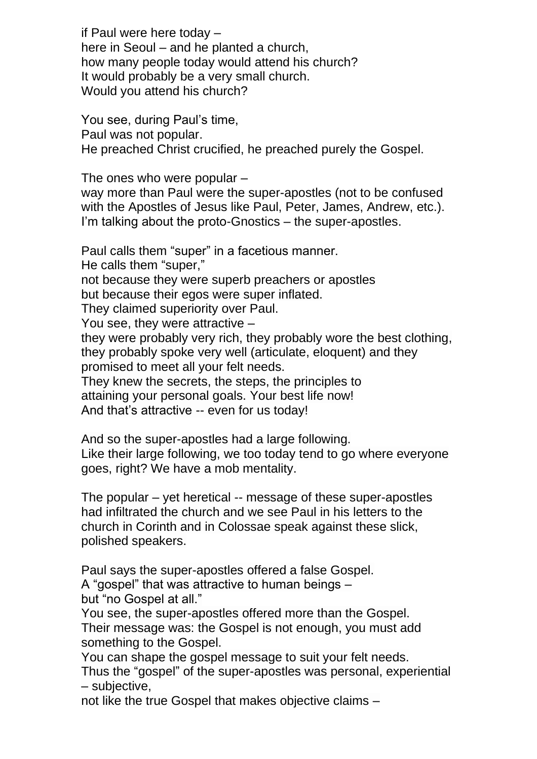if Paul were here today – here in Seoul – and he planted a church, how many people today would attend his church? It would probably be a very small church. Would you attend his church?

You see, during Paul's time, Paul was not popular. He preached Christ crucified, he preached purely the Gospel.

The ones who were popular – way more than Paul were the super-apostles (not to be confused with the Apostles of Jesus like Paul, Peter, James, Andrew, etc.). I'm talking about the proto-Gnostics – the super-apostles.

Paul calls them "super" in a facetious manner. He calls them "super," not because they were superb preachers or apostles but because their egos were super inflated. They claimed superiority over Paul. You see, they were attractive – they were probably very rich, they probably wore the best clothing, they probably spoke very well (articulate, eloquent) and they promised to meet all your felt needs. They knew the secrets, the steps, the principles to attaining your personal goals. Your best life now! And that's attractive -- even for us today!

And so the super-apostles had a large following. Like their large following, we too today tend to go where everyone goes, right? We have a mob mentality.

The popular – yet heretical -- message of these super-apostles had infiltrated the church and we see Paul in his letters to the church in Corinth and in Colossae speak against these slick, polished speakers.

Paul says the super-apostles offered a false Gospel.

A "gospel" that was attractive to human beings – but "no Gospel at all."

You see, the super-apostles offered more than the Gospel. Their message was: the Gospel is not enough, you must add something to the Gospel.

You can shape the gospel message to suit your felt needs.

Thus the "gospel" of the super-apostles was personal, experiential – subjective,

not like the true Gospel that makes objective claims –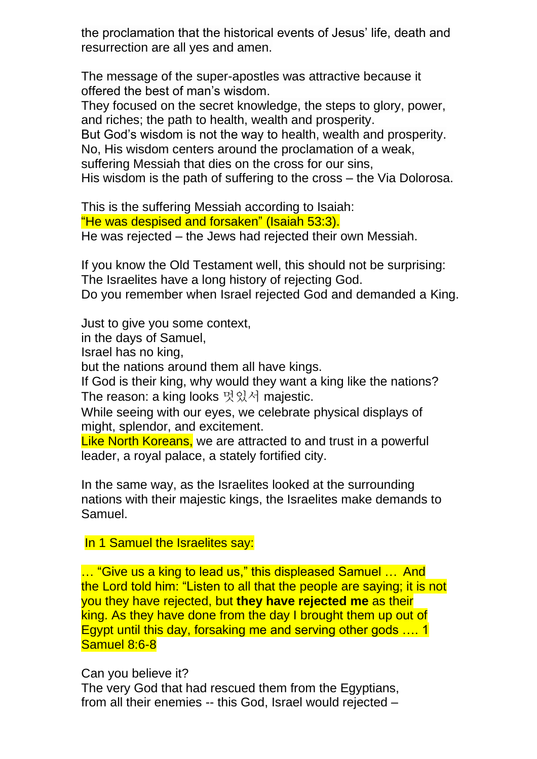the proclamation that the historical events of Jesus' life, death and resurrection are all yes and amen.

The message of the super-apostles was attractive because it offered the best of man's wisdom.

They focused on the secret knowledge, the steps to glory, power, and riches; the path to health, wealth and prosperity.

But God's wisdom is not the way to health, wealth and prosperity.

No, His wisdom centers around the proclamation of a weak,

suffering Messiah that dies on the cross for our sins,

His wisdom is the path of suffering to the cross – the Via Dolorosa.

This is the suffering Messiah according to Isaiah: "He was despised and forsaken" (Isaiah 53:3). He was rejected – the Jews had rejected their own Messiah.

If you know the Old Testament well, this should not be surprising: The Israelites have a long history of rejecting God. Do you remember when Israel rejected God and demanded a King.

Just to give you some context,

in the days of Samuel,

Israel has no king,

but the nations around them all have kings.

If God is their king, why would they want a king like the nations? The reason: a king looks 멋있서 majestic.

While seeing with our eyes, we celebrate physical displays of might, splendor, and excitement.

Like North Koreans, we are attracted to and trust in a powerful leader, a royal palace, a stately fortified city.

In the same way, as the Israelites looked at the surrounding nations with their majestic kings, the Israelites make demands to Samuel.

In 1 Samuel the Israelites say:

… "Give us a king to lead us," this displeased Samuel … And the Lord told him: "Listen to all that the people are saying; it is not you they have rejected, but **they have rejected me** as their king. As they have done from the day I brought them up out of Egypt until this day, forsaking me and serving other gods …. 1 Samuel 8:6-8

Can you believe it?

The very God that had rescued them from the Egyptians, from all their enemies -- this God, Israel would rejected –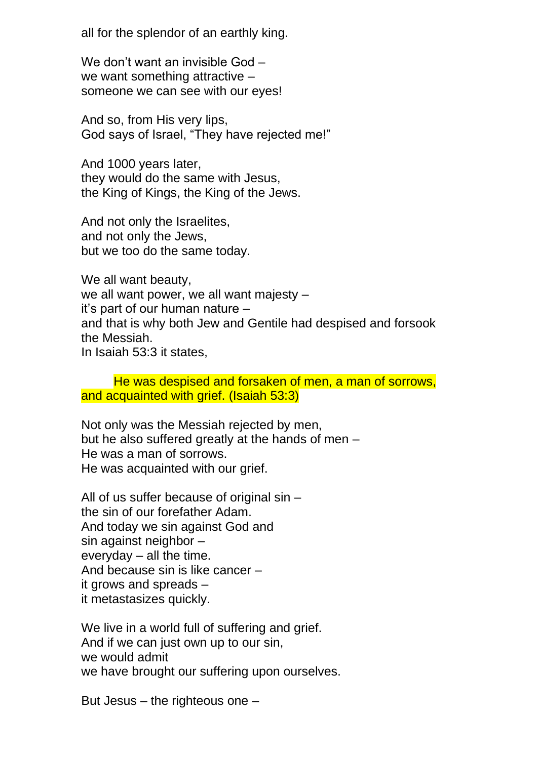all for the splendor of an earthly king.

We don't want an invisible God – we want something attractive – someone we can see with our eyes!

And so, from His very lips, God says of Israel, "They have rejected me!"

And 1000 years later, they would do the same with Jesus, the King of Kings, the King of the Jews.

And not only the Israelites, and not only the Jews, but we too do the same today.

We all want beauty, we all want power, we all want majesty – it's part of our human nature – and that is why both Jew and Gentile had despised and forsook the Messiah. In Isaiah 53:3 it states,

He was despised and forsaken of men, a man of sorrows, and acquainted with grief. (Isaiah 53:3)

Not only was the Messiah rejected by men, but he also suffered greatly at the hands of men – He was a man of sorrows. He was acquainted with our grief.

All of us suffer because of original sin – the sin of our forefather Adam. And today we sin against God and sin against neighbor – everyday – all the time. And because sin is like cancer – it grows and spreads – it metastasizes quickly.

We live in a world full of suffering and grief. And if we can just own up to our sin, we would admit we have brought our suffering upon ourselves.

But Jesus – the righteous one –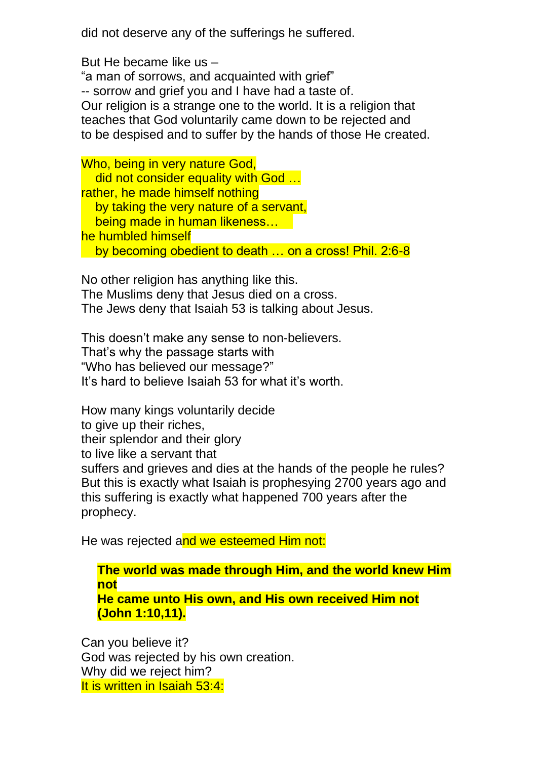did not deserve any of the sufferings he suffered.

But He became like us – "a man of sorrows, and acquainted with grief" -- sorrow and grief you and I have had a taste of. Our religion is a strange one to the world. It is a religion that teaches that God voluntarily came down to be rejected and to be despised and to suffer by the hands of those He created.

Who, being in very nature God, did not consider equality with God … rather, he made himself nothing by taking the very nature of a servant, being made in human likeness… he humbled himself by becoming obedient to death … on a cross! Phil. 2:6-8

No other religion has anything like this. The Muslims deny that Jesus died on a cross. The Jews deny that Isaiah 53 is talking about Jesus.

This doesn't make any sense to non-believers. That's why the passage starts with "Who has believed our message?" It's hard to believe Isaiah 53 for what it's worth.

How many kings voluntarily decide to give up their riches, their splendor and their glory to live like a servant that suffers and grieves and dies at the hands of the people he rules? But this is exactly what Isaiah is prophesying 2700 years ago and this suffering is exactly what happened 700 years after the prophecy.

He was rejected and we esteemed Him not:

## **The world was made through Him, and the world knew Him not He came unto His own, and His own received Him not (John 1:10,11).**

Can you believe it? God was rejected by his own creation. Why did we reject him? It is written in Isaiah 53:4: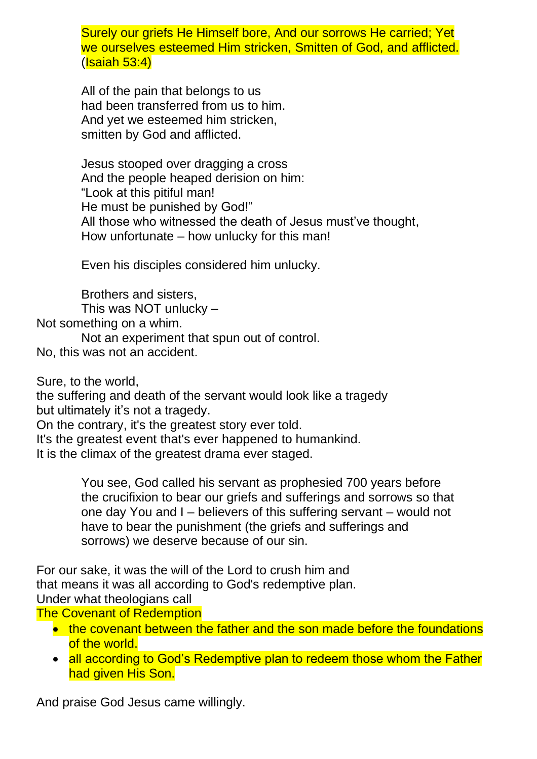Surely our griefs He Himself bore, And our sorrows He carried; Yet we ourselves esteemed Him stricken, Smitten of God, and afflicted. (Isaiah 53:4)

All of the pain that belongs to us had been transferred from us to him. And yet we esteemed him stricken, smitten by God and afflicted.

Jesus stooped over dragging a cross And the people heaped derision on him: "Look at this pitiful man! He must be punished by God!" All those who witnessed the death of Jesus must've thought, How unfortunate – how unlucky for this man!

Even his disciples considered him unlucky.

Brothers and sisters, This was NOT unlucky – Not something on a whim.

Not an experiment that spun out of control.

No, this was not an accident.

Sure, to the world,

the suffering and death of the servant would look like a tragedy but ultimately it's not a tragedy.

On the contrary, it's the greatest story ever told.

It's the greatest event that's ever happened to humankind. It is the climax of the greatest drama ever staged.

> You see, God called his servant as prophesied 700 years before the crucifixion to bear our griefs and sufferings and sorrows so that one day You and I – believers of this suffering servant – would not have to bear the punishment (the griefs and sufferings and sorrows) we deserve because of our sin.

For our sake, it was the will of the Lord to crush him and that means it was all according to God's redemptive plan. Under what theologians call

The Covenant of Redemption

- the covenant between the father and the son made before the foundations of the world.
- all according to God's Redemptive plan to redeem those whom the Father had given His Son.

And praise God Jesus came willingly.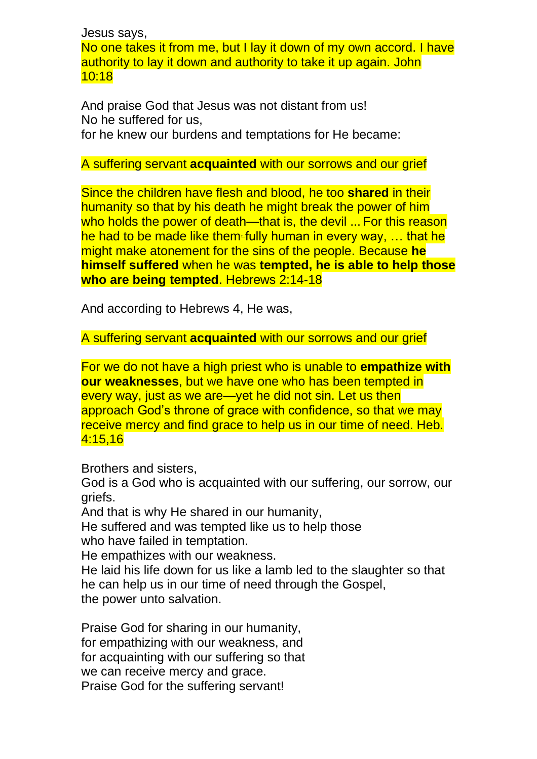Jesus says,

No one takes it from me, but I lay it down of my own accord. I have authority to lay it down and authority to take it up again. John 10:18

And praise God that Jesus was not distant from us! No he suffered for us, for he knew our burdens and temptations for He became:

## A suffering servant **acquainted** with our sorrows and our grief

Since the children have flesh and blood, he too **shared** in their humanity so that by his death he might break the power of him who holds the power of death—that is, the devil ... For this reason he had to be made like them-fully human in every way,  $\ldots$  that he might make atonement for the sins of the people. Because **he himself suffered** when he was **tempted, he is able to help those who are being tempted**. Hebrews 2:14-18

And according to Hebrews 4, He was,

A suffering servant **acquainted** with our sorrows and our grief

For we do not have a high priest who is unable to **empathize with our weaknesses**, but we have one who has been tempted in every way, just as we are—yet he did not sin. Let us then approach God's throne of grace with confidence, so that we may receive mercy and find grace to help us in our time of need. Heb. 4:15,16

Brothers and sisters,

God is a God who is acquainted with our suffering, our sorrow, our griefs.

And that is why He shared in our humanity,

He suffered and was tempted like us to help those

who have failed in temptation.

He empathizes with our weakness.

He laid his life down for us like a lamb led to the slaughter so that he can help us in our time of need through the Gospel, the power unto salvation.

Praise God for sharing in our humanity, for empathizing with our weakness, and for acquainting with our suffering so that we can receive mercy and grace. Praise God for the suffering servant!